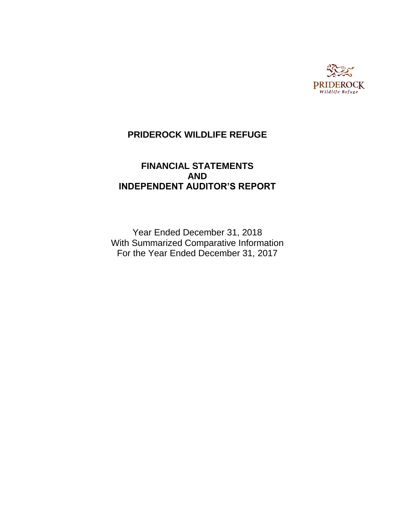

# **FINANCIAL STATEMENTS AND INDEPENDENT AUDITOR'S REPORT**

Year Ended December 31, 2018 With Summarized Comparative Information For the Year Ended December 31, 2017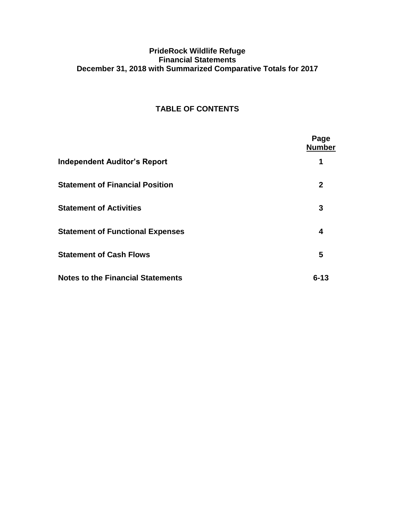# **PrideRock Wildlife Refuge Financial Statements December 31, 2018 with Summarized Comparative Totals for 2017**

# **TABLE OF CONTENTS**

|                                          | Page<br><b>Number</b> |
|------------------------------------------|-----------------------|
| <b>Independent Auditor's Report</b>      | 1                     |
| <b>Statement of Financial Position</b>   | $\mathbf{2}$          |
| <b>Statement of Activities</b>           | 3                     |
| <b>Statement of Functional Expenses</b>  | 4                     |
| <b>Statement of Cash Flows</b>           | 5                     |
| <b>Notes to the Financial Statements</b> | $6 - 13$              |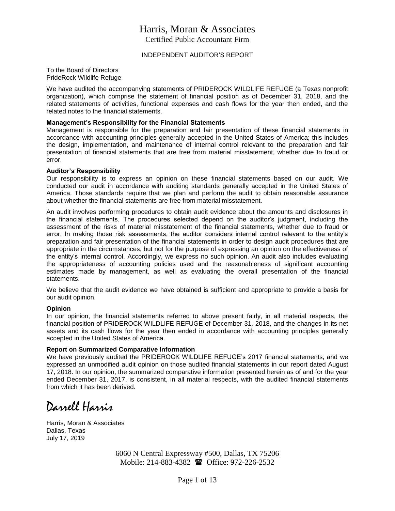# Harris, Moran & Associates Certified Public Accountant Firm

INDEPENDENT AUDITOR'S REPORT

To the Board of Directors PrideRock Wildlife Refuge

We have audited the accompanying statements of PRIDEROCK WILDLIFE REFUGE (a Texas nonprofit organization), which comprise the statement of financial position as of December 31, 2018, and the related statements of activities, functional expenses and cash flows for the year then ended, and the related notes to the financial statements.

#### **Management's Responsibility for the Financial Statements**

Management is responsible for the preparation and fair presentation of these financial statements in accordance with accounting principles generally accepted in the United States of America; this includes the design, implementation, and maintenance of internal control relevant to the preparation and fair presentation of financial statements that are free from material misstatement, whether due to fraud or error.

#### **Auditor's Responsibility**

Our responsibility is to express an opinion on these financial statements based on our audit. We conducted our audit in accordance with auditing standards generally accepted in the United States of America. Those standards require that we plan and perform the audit to obtain reasonable assurance about whether the financial statements are free from material misstatement.

An audit involves performing procedures to obtain audit evidence about the amounts and disclosures in the financial statements. The procedures selected depend on the auditor's judgment, including the assessment of the risks of material misstatement of the financial statements, whether due to fraud or error. In making those risk assessments, the auditor considers internal control relevant to the entity's preparation and fair presentation of the financial statements in order to design audit procedures that are appropriate in the circumstances, but not for the purpose of expressing an opinion on the effectiveness of the entity's internal control. Accordingly, we express no such opinion. An audit also includes evaluating the appropriateness of accounting policies used and the reasonableness of significant accounting estimates made by management, as well as evaluating the overall presentation of the financial statements.

We believe that the audit evidence we have obtained is sufficient and appropriate to provide a basis for our audit opinion.

#### **Opinion**

In our opinion, the financial statements referred to above present fairly, in all material respects, the financial position of PRIDEROCK WILDLIFE REFUGE of December 31, 2018, and the changes in its net assets and its cash flows for the year then ended in accordance with accounting principles generally accepted in the United States of America.

#### **Report on Summarized Comparative Information**

We have previously audited the PRIDEROCK WILDLIFE REFUGE's 2017 financial statements, and we expressed an unmodified audit opinion on those audited financial statements in our report dated August 17, 2018. In our opinion, the summarized comparative information presented herein as of and for the year ended December 31, 2017, is consistent, in all material respects, with the audited financial statements from which it has been derived.

Darrell Harris

Harris, Moran & Associates Dallas, Texas July 17, 2019

> 6060 N Central Expressway #500, Dallas, TX 75206 Mobile: 214-883-4382 **a** Office: 972-226-2532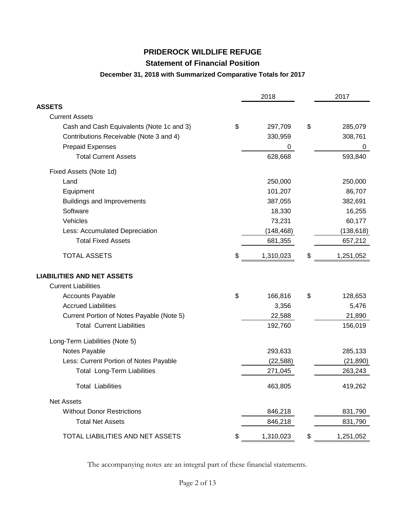## **Statement of Financial Position**

#### **December 31, 2018 with Summarized Comparative Totals for 2017**

|                                           | 2018            | 2017            |
|-------------------------------------------|-----------------|-----------------|
| <b>ASSETS</b>                             |                 |                 |
| <b>Current Assets</b>                     |                 |                 |
| Cash and Cash Equivalents (Note 1c and 3) | \$<br>297,709   | \$<br>285,079   |
| Contributions Receivable (Note 3 and 4)   | 330,959         | 308,761         |
| <b>Prepaid Expenses</b>                   | 0               | 0               |
| <b>Total Current Assets</b>               | 628,668         | 593,840         |
| Fixed Assets (Note 1d)                    |                 |                 |
| Land                                      | 250,000         | 250,000         |
| Equipment                                 | 101,207         | 86,707          |
| <b>Buildings and Improvements</b>         | 387,055         | 382,691         |
| Software                                  | 18,330          | 16,255          |
| Vehicles                                  | 73,231          | 60,177          |
| Less: Accumulated Depreciation            | (148, 468)      | (138, 618)      |
| <b>Total Fixed Assets</b>                 | 681,355         | 657,212         |
| <b>TOTAL ASSETS</b>                       | \$<br>1,310,023 | \$<br>1,251,052 |
| <b>LIABILITIES AND NET ASSETS</b>         |                 |                 |
| <b>Current Liabilities</b>                |                 |                 |
| <b>Accounts Payable</b>                   | \$<br>166,816   | \$<br>128,653   |
| <b>Accrued Liabilities</b>                | 3,356           | 5,476           |
| Current Portion of Notes Payable (Note 5) | 22,588          | 21,890          |
| <b>Total Current Liabilities</b>          | 192,760         | 156,019         |
| Long-Term Liabilities (Note 5)            |                 |                 |
| Notes Payable                             | 293,633         | 285,133         |
| Less: Current Portion of Notes Payable    | (22, 588)       | (21, 890)       |
| <b>Total Long-Term Liabilities</b>        | 271,045         | 263,243         |
| <b>Total Liabilities</b>                  | 463,805         | 419,262         |
| <b>Net Assets</b>                         |                 |                 |
| <b>Without Donor Restrictions</b>         | 846,218         | 831,790         |
| <b>Total Net Assets</b>                   | 846,218         | 831,790         |
| TOTAL LIABILITIES AND NET ASSETS          | \$<br>1,310,023 | \$<br>1,251,052 |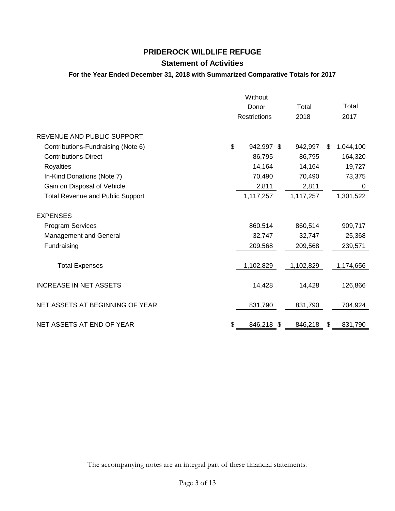## **Statement of Activities**

### **For the Year Ended December 31, 2018 with Summarized Comparative Totals for 2017**

|                                         | Without             |           |     |           |
|-----------------------------------------|---------------------|-----------|-----|-----------|
|                                         | Donor               | Total     |     | Total     |
|                                         | <b>Restrictions</b> | 2018      |     | 2017      |
| REVENUE AND PUBLIC SUPPORT              |                     |           |     |           |
| Contributions-Fundraising (Note 6)      | \$<br>942,997 \$    | 942,997   | \$. | 1,044,100 |
| <b>Contributions-Direct</b>             | 86,795              | 86,795    |     | 164,320   |
| Royalties                               | 14,164              | 14,164    |     | 19,727    |
| In-Kind Donations (Note 7)              | 70,490              | 70,490    |     | 73,375    |
| Gain on Disposal of Vehicle             | 2,811               | 2,811     |     | 0         |
| <b>Total Revenue and Public Support</b> | 1,117,257           | 1,117,257 |     | 1,301,522 |
| <b>EXPENSES</b>                         |                     |           |     |           |
| <b>Program Services</b>                 | 860,514             | 860,514   |     | 909,717   |
| Management and General                  | 32,747              | 32,747    |     | 25,368    |
| Fundraising                             | 209,568             | 209,568   |     | 239,571   |
| <b>Total Expenses</b>                   | 1,102,829           | 1,102,829 |     | 1,174,656 |
| <b>INCREASE IN NET ASSETS</b>           | 14,428              | 14,428    |     | 126,866   |
| NET ASSETS AT BEGINNING OF YEAR         | 831,790             | 831,790   |     | 704,924   |
| NET ASSETS AT END OF YEAR               | \$<br>846,218 \$    | 846,218   | S   | 831,790   |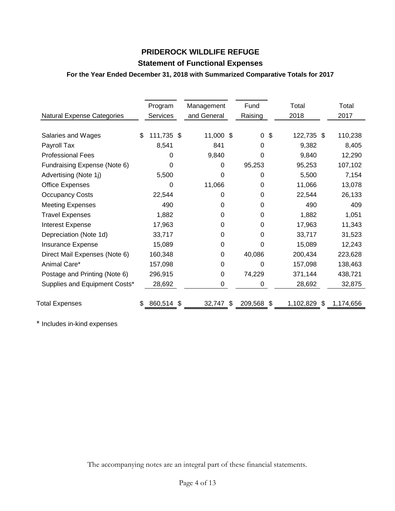# **Statement of Functional Expenses**

### **For the Year Ended December 31, 2018 with Summarized Comparative Totals for 2017**

| <b>Natural Expense Categories</b> | Program<br>Services | Management<br>and General |     | Fund<br>Raising | Total<br>2018    | Total<br>2017 |
|-----------------------------------|---------------------|---------------------------|-----|-----------------|------------------|---------------|
| Salaries and Wages                | 111,735 \$<br>£.    | 11,000 \$                 |     | 0               | \$<br>122,735 \$ | 110,238       |
| Payroll Tax                       | 8,541               | 841                       |     | 0               | 9,382            | 8,405         |
| <b>Professional Fees</b>          | 0                   | 9,840                     |     | 0               | 9,840            | 12,290        |
| Fundraising Expense (Note 6)      | 0                   | 0                         |     | 95,253          | 95,253           | 107,102       |
| Advertising (Note 1j)             | 5,500               | 0                         |     | 0               | 5,500            | 7,154         |
| <b>Office Expenses</b>            | 0                   | 11,066                    |     | 0               | 11,066           | 13,078        |
| <b>Occupancy Costs</b>            | 22,544              | 0                         |     | 0               | 22,544           | 26,133        |
| <b>Meeting Expenses</b>           | 490                 | 0                         |     | 0               | 490              | 409           |
| <b>Travel Expenses</b>            | 1,882               | 0                         |     | 0               | 1,882            | 1,051         |
| <b>Interest Expense</b>           | 17,963              | 0                         |     | 0               | 17,963           | 11,343        |
| Depreciation (Note 1d)            | 33,717              | 0                         |     | 0               | 33,717           | 31,523        |
| Insurance Expense                 | 15,089              | 0                         |     | 0               | 15,089           | 12,243        |
| Direct Mail Expenses (Note 6)     | 160,348             | 0                         |     | 40,086          | 200,434          | 223,628       |
| Animal Care*                      | 157,098             | 0                         |     | 0               | 157,098          | 138,463       |
| Postage and Printing (Note 6)     | 296,915             | 0                         |     | 74,229          | 371,144          | 438,721       |
| Supplies and Equipment Costs*     | 28,692              | 0                         |     | 0               | 28,692           | 32,875        |
| <b>Total Expenses</b>             | 860,514 \$          | 32,747                    | \$. | 209,568 \$      | 1,102,829<br>S.  | 1,174,656     |

\* Includes in-kind expenses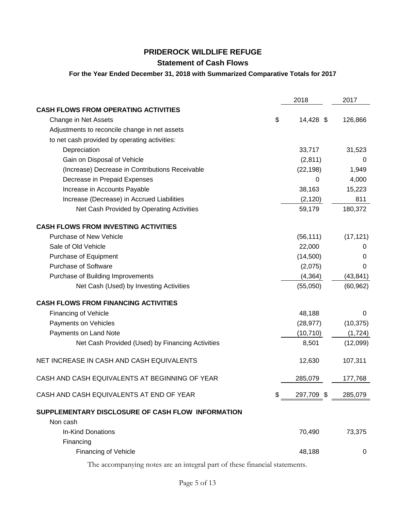# **Statement of Cash Flows**

#### **For the Year Ended December 31, 2018 with Summarized Comparative Totals for 2017**

|                                                               | 2018             | 2017      |
|---------------------------------------------------------------|------------------|-----------|
| <b>CASH FLOWS FROM OPERATING ACTIVITIES</b>                   |                  |           |
| Change in Net Assets                                          | \$<br>14,428 \$  | 126,866   |
| Adjustments to reconcile change in net assets                 |                  |           |
| to net cash provided by operating activities:                 |                  |           |
| Depreciation                                                  | 33,717           | 31,523    |
| Gain on Disposal of Vehicle                                   | (2,811)          | 0         |
| (Increase) Decrease in Contributions Receivable               | (22, 198)        | 1,949     |
| Decrease in Prepaid Expenses                                  | 0                | 4,000     |
| Increase in Accounts Payable                                  | 38,163           | 15,223    |
| Increase (Decrease) in Accrued Liabilities                    | (2, 120)         | 811       |
| Net Cash Provided by Operating Activities                     | 59,179           | 180,372   |
| <b>CASH FLOWS FROM INVESTING ACTIVITIES</b>                   |                  |           |
| Purchase of New Vehicle                                       | (56, 111)        | (17, 121) |
| Sale of Old Vehicle                                           | 22,000           | 0         |
| Purchase of Equipment                                         | (14,500)         | 0         |
| <b>Purchase of Software</b>                                   | (2,075)          | 0         |
| Purchase of Building Improvements                             | (4, 364)         | (43, 841) |
| Net Cash (Used) by Investing Activities                       | (55,050)         | (60, 962) |
| <b>CASH FLOWS FROM FINANCING ACTIVITIES</b>                   |                  |           |
| <b>Financing of Vehicle</b>                                   | 48,188           | 0         |
| Payments on Vehicles                                          | (28, 977)        | (10, 375) |
| Payments on Land Note                                         | (10, 710)        | (1, 724)  |
| Net Cash Provided (Used) by Financing Activities              | 8,501            | (12,099)  |
| NET INCREASE IN CASH AND CASH EQUIVALENTS                     | 12,630           | 107,311   |
| CASH AND CASH EQUIVALENTS AT BEGINNING OF YEAR                | 285,079          | 177,768   |
| CASH AND CASH EQUIVALENTS AT END OF YEAR                      | \$<br>297,709 \$ | 285,079   |
| SUPPLEMENTARY DISCLOSURE OF CASH FLOW INFORMATION<br>Non cash |                  |           |
| In-Kind Donations<br>Financing                                | 70,490           | 73,375    |
| <b>Financing of Vehicle</b>                                   | 48,188           | 0         |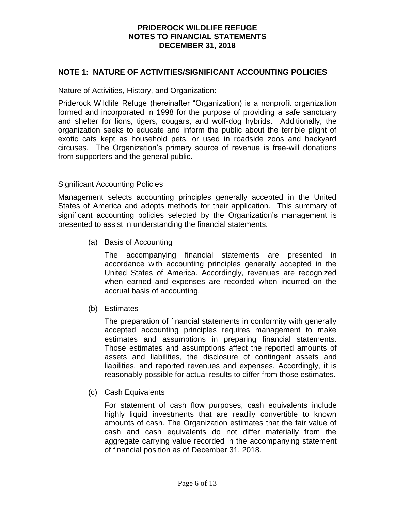### **NOTE 1: NATURE OF ACTIVITIES/SIGNIFICANT ACCOUNTING POLICIES**

#### Nature of Activities, History, and Organization:

Priderock Wildlife Refuge (hereinafter "Organization) is a nonprofit organization formed and incorporated in 1998 for the purpose of providing a safe sanctuary and shelter for lions, tigers, cougars, and wolf-dog hybrids. Additionally, the organization seeks to educate and inform the public about the terrible plight of exotic cats kept as household pets, or used in roadside zoos and backyard circuses. The Organization's primary source of revenue is free-will donations from supporters and the general public.

#### Significant Accounting Policies

Management selects accounting principles generally accepted in the United States of America and adopts methods for their application. This summary of significant accounting policies selected by the Organization's management is presented to assist in understanding the financial statements.

(a) Basis of Accounting

The accompanying financial statements are presented in accordance with accounting principles generally accepted in the United States of America. Accordingly, revenues are recognized when earned and expenses are recorded when incurred on the accrual basis of accounting.

(b) Estimates

The preparation of financial statements in conformity with generally accepted accounting principles requires management to make estimates and assumptions in preparing financial statements. Those estimates and assumptions affect the reported amounts of assets and liabilities, the disclosure of contingent assets and liabilities, and reported revenues and expenses. Accordingly, it is reasonably possible for actual results to differ from those estimates.

(c) Cash Equivalents

For statement of cash flow purposes, cash equivalents include highly liquid investments that are readily convertible to known amounts of cash. The Organization estimates that the fair value of cash and cash equivalents do not differ materially from the aggregate carrying value recorded in the accompanying statement of financial position as of December 31, 2018.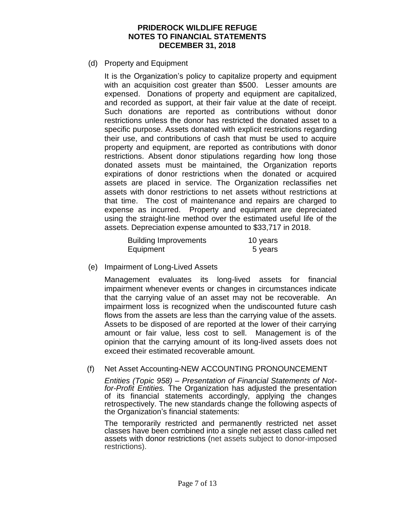(d) Property and Equipment

It is the Organization's policy to capitalize property and equipment with an acquisition cost greater than \$500. Lesser amounts are expensed. Donations of property and equipment are capitalized, and recorded as support, at their fair value at the date of receipt. Such donations are reported as contributions without donor restrictions unless the donor has restricted the donated asset to a specific purpose. Assets donated with explicit restrictions regarding their use, and contributions of cash that must be used to acquire property and equipment, are reported as contributions with donor restrictions. Absent donor stipulations regarding how long those donated assets must be maintained, the Organization reports expirations of donor restrictions when the donated or acquired assets are placed in service. The Organization reclassifies net assets with donor restrictions to net assets without restrictions at that time. The cost of maintenance and repairs are charged to expense as incurred. Property and equipment are depreciated using the straight-line method over the estimated useful life of the assets. Depreciation expense amounted to \$33,717 in 2018.

| <b>Building Improvements</b> | 10 years |
|------------------------------|----------|
| Equipment                    | 5 years  |

(e) Impairment of Long-Lived Assets

Management evaluates its long-lived assets for financial impairment whenever events or changes in circumstances indicate that the carrying value of an asset may not be recoverable. An impairment loss is recognized when the undiscounted future cash flows from the assets are less than the carrying value of the assets. Assets to be disposed of are reported at the lower of their carrying amount or fair value, less cost to sell. Management is of the opinion that the carrying amount of its long-lived assets does not exceed their estimated recoverable amount.

#### (f) Net Asset Accounting-NEW ACCOUNTING PRONOUNCEMENT

*Entities (Topic 958) – Presentation of Financial Statements of Notfor-Profit Entities.* The Organization has adjusted the presentation of its financial statements accordingly, applying the changes retrospectively. The new standards change the following aspects of the Organization's financial statements:

The temporarily restricted and permanently restricted net asset classes have been combined into a single net asset class called net assets with donor restrictions (net assets subject to donor‐imposed restrictions).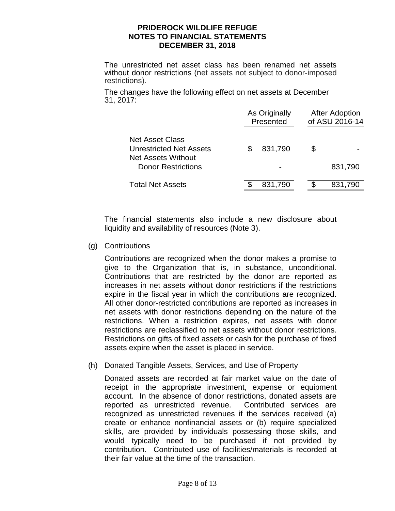The unrestricted net asset class has been renamed net assets without donor restrictions (net assets not subject to donor‐imposed restrictions).

The changes have the following effect on net assets at December 31, 2017:

|                                                                         | As Originally<br>Presented | <b>After Adoption</b><br>of ASU 2016-14 |
|-------------------------------------------------------------------------|----------------------------|-----------------------------------------|
| <b>Net Asset Class</b><br>Unrestricted Net Assets<br>Net Assets Without | 831,790<br>S               | \$                                      |
| Donor Restrictions                                                      |                            | 831,790                                 |
| Total Net Assets                                                        | 831,790                    | 831,790                                 |

The financial statements also include a new disclosure about liquidity and availability of resources (Note 3).

(g) Contributions

Contributions are recognized when the donor makes a promise to give to the Organization that is, in substance, unconditional. Contributions that are restricted by the donor are reported as increases in net assets without donor restrictions if the restrictions expire in the fiscal year in which the contributions are recognized. All other donor-restricted contributions are reported as increases in net assets with donor restrictions depending on the nature of the restrictions. When a restriction expires, net assets with donor restrictions are reclassified to net assets without donor restrictions. Restrictions on gifts of fixed assets or cash for the purchase of fixed assets expire when the asset is placed in service.

(h) Donated Tangible Assets, Services, and Use of Property

Donated assets are recorded at fair market value on the date of receipt in the appropriate investment, expense or equipment account. In the absence of donor restrictions, donated assets are reported as unrestricted revenue. Contributed services are recognized as unrestricted revenues if the services received (a) create or enhance nonfinancial assets or (b) require specialized skills, are provided by individuals possessing those skills, and would typically need to be purchased if not provided by contribution. Contributed use of facilities/materials is recorded at their fair value at the time of the transaction.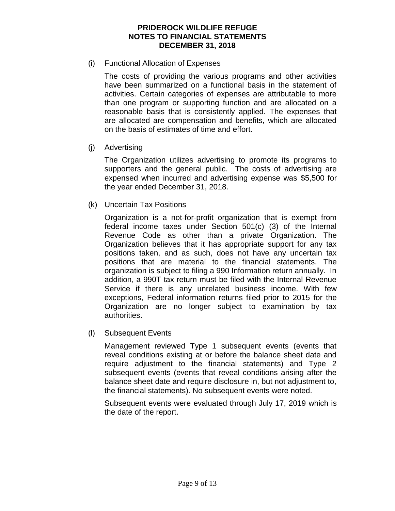#### (i) Functional Allocation of Expenses

The costs of providing the various programs and other activities have been summarized on a functional basis in the statement of activities. Certain categories of expenses are attributable to more than one program or supporting function and are allocated on a reasonable basis that is consistently applied. The expenses that are allocated are compensation and benefits, which are allocated on the basis of estimates of time and effort.

#### (j) Advertising

The Organization utilizes advertising to promote its programs to supporters and the general public. The costs of advertising are expensed when incurred and advertising expense was \$5,500 for the year ended December 31, 2018.

(k) Uncertain Tax Positions

Organization is a not-for-profit organization that is exempt from federal income taxes under Section 501(c) (3) of the Internal Revenue Code as other than a private Organization. The Organization believes that it has appropriate support for any tax positions taken, and as such, does not have any uncertain tax positions that are material to the financial statements. The organization is subject to filing a 990 Information return annually. In addition, a 990T tax return must be filed with the Internal Revenue Service if there is any unrelated business income. With few exceptions, Federal information returns filed prior to 2015 for the Organization are no longer subject to examination by tax authorities.

(l) Subsequent Events

Management reviewed Type 1 subsequent events (events that reveal conditions existing at or before the balance sheet date and require adjustment to the financial statements) and Type 2 subsequent events (events that reveal conditions arising after the balance sheet date and require disclosure in, but not adjustment to, the financial statements). No subsequent events were noted.

Subsequent events were evaluated through July 17, 2019 which is the date of the report.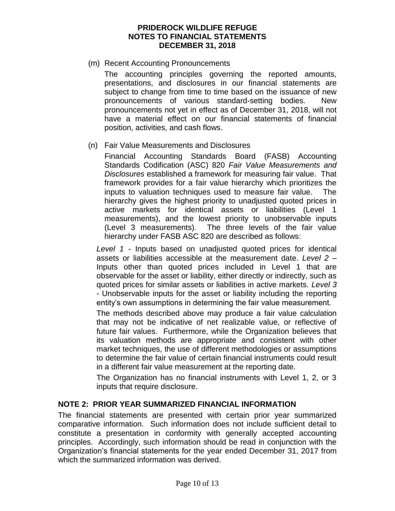(m) Recent Accounting Pronouncements

The accounting principles governing the reported amounts, presentations, and disclosures in our financial statements are subject to change from time to time based on the issuance of new pronouncements of various standard-setting bodies. New pronouncements not yet in effect as of December 31, 2018, will not have a material effect on our financial statements of financial position, activities, and cash flows.

(n) Fair Value Measurements and Disclosures

Financial Accounting Standards Board (FASB) Accounting Standards Codification (ASC) 820 *Fair Value Measurements and Disclosures* established a framework for measuring fair value. That framework provides for a fair value hierarchy which prioritizes the inputs to valuation techniques used to measure fair value. The hierarchy gives the highest priority to unadjusted quoted prices in active markets for identical assets or liabilities (Level 1 measurements), and the lowest priority to unobservable inputs (Level 3 measurements). The three levels of the fair value hierarchy under FASB ASC 820 are described as follows:

*Level 1* - Inputs based on unadjusted quoted prices for identical assets or liabilities accessible at the measurement date. *Level 2* – Inputs other than quoted prices included in Level 1 that are observable for the asset or liability, either directly or indirectly, such as quoted prices for similar assets or liabilities in active markets. *Level 3* - Unobservable inputs for the asset or liability including the reporting entity's own assumptions in determining the fair value measurement.

The methods described above may produce a fair value calculation that may not be indicative of net realizable value, or reflective of future fair values. Furthermore, while the Organization believes that its valuation methods are appropriate and consistent with other market techniques, the use of different methodologies or assumptions to determine the fair value of certain financial instruments could result in a different fair value measurement at the reporting date.

The Organization has no financial instruments with Level 1, 2, or 3 inputs that require disclosure.

### **NOTE 2: PRIOR YEAR SUMMARIZED FINANCIAL INFORMATION**

The financial statements are presented with certain prior year summarized comparative information. Such information does not include sufficient detail to constitute a presentation in conformity with generally accepted accounting principles. Accordingly, such information should be read in conjunction with the Organization's financial statements for the year ended December 31, 2017 from which the summarized information was derived.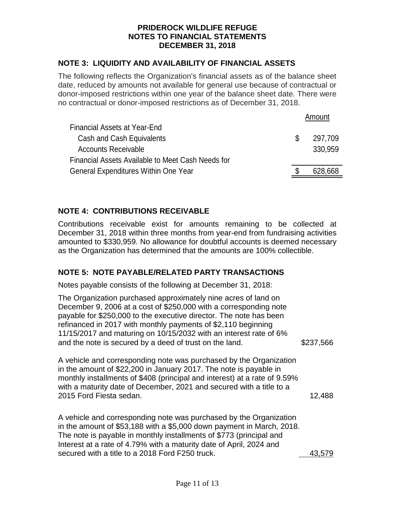# **NOTE 3: LIQUIDITY AND AVAILABILITY OF FINANCIAL ASSETS**

The following reflects the Organization's financial assets as of the balance sheet date, reduced by amounts not available for general use because of contractual or donor-imposed restrictions within one year of the balance sheet date. There were no contractual or donor-imposed restrictions as of December 31, 2018.

|                                                   | Amount        |
|---------------------------------------------------|---------------|
| Financial Assets at Year-End                      |               |
| Cash and Cash Equivalents                         | \$<br>297,709 |
| <b>Accounts Receivable</b>                        | 330,959       |
| Financial Assets Available to Meet Cash Needs for |               |
| <b>General Expenditures Within One Year</b>       | 628,668       |

# **NOTE 4: CONTRIBUTIONS RECEIVABLE**

Contributions receivable exist for amounts remaining to be collected at December 31, 2018 within three months from year-end from fundraising activities amounted to \$330,959. No allowance for doubtful accounts is deemed necessary as the Organization has determined that the amounts are 100% collectible.

# **NOTE 5: NOTE PAYABLE/RELATED PARTY TRANSACTIONS**

Notes payable consists of the following at December 31, 2018:

The Organization purchased approximately nine acres of land on December 9, 2006 at a cost of \$250,000 with a corresponding note payable for \$250,000 to the executive director. The note has been refinanced in 2017 with monthly payments of \$2,110 beginning 11/15/2017 and maturing on 10/15/2032 with an interest rate of 6% and the note is secured by a deed of trust on the land. \$237,566

A vehicle and corresponding note was purchased by the Organization in the amount of \$22,200 in January 2017. The note is payable in monthly installments of \$408 (principal and interest) at a rate of 9.59% with a maturity date of December, 2021 and secured with a title to a 2015 Ford Fiesta sedan. 12,488

A vehicle and corresponding note was purchased by the Organization in the amount of \$53,188 with a \$5,000 down payment in March, 2018. The note is payable in monthly installments of \$773 (principal and Interest at a rate of 4.79% with a maturity date of April, 2024 and secured with a title to a 2018 Ford F250 truck. 43,579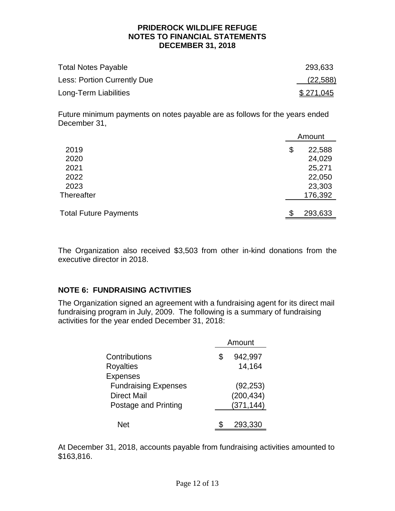| <b>Total Notes Payable</b>  | 293,633          |
|-----------------------------|------------------|
| Less: Portion Currently Due | (22, 588)        |
| Long-Term Liabilities       | <u>\$271,045</u> |

Future minimum payments on notes payable are as follows for the years ended December 31,

|                              | Amount       |
|------------------------------|--------------|
| 2019                         | \$<br>22,588 |
| 2020                         | 24,029       |
| 2021                         | 25,271       |
| 2022                         | 22,050       |
| 2023                         | 23,303       |
| Thereafter                   | 176,392      |
|                              |              |
| <b>Total Future Payments</b> | 293,633      |
|                              |              |

The Organization also received \$3,503 from other in-kind donations from the executive director in 2018.

# **NOTE 6: FUNDRAISING ACTIVITIES**

The Organization signed an agreement with a fundraising agent for its direct mail fundraising program in July, 2009. The following is a summary of fundraising activities for the year ended December 31, 2018:

|                             | Amount        |
|-----------------------------|---------------|
| Contributions               | \$<br>942,997 |
| <b>Royalties</b>            | 14,164        |
| <b>Expenses</b>             |               |
| <b>Fundraising Expenses</b> | (92, 253)     |
| <b>Direct Mail</b>          | (200, 434)    |
| Postage and Printing        | (371, 144)    |
|                             |               |
| Net                         | 293,330       |

At December 31, 2018, accounts payable from fundraising activities amounted to \$163,816.